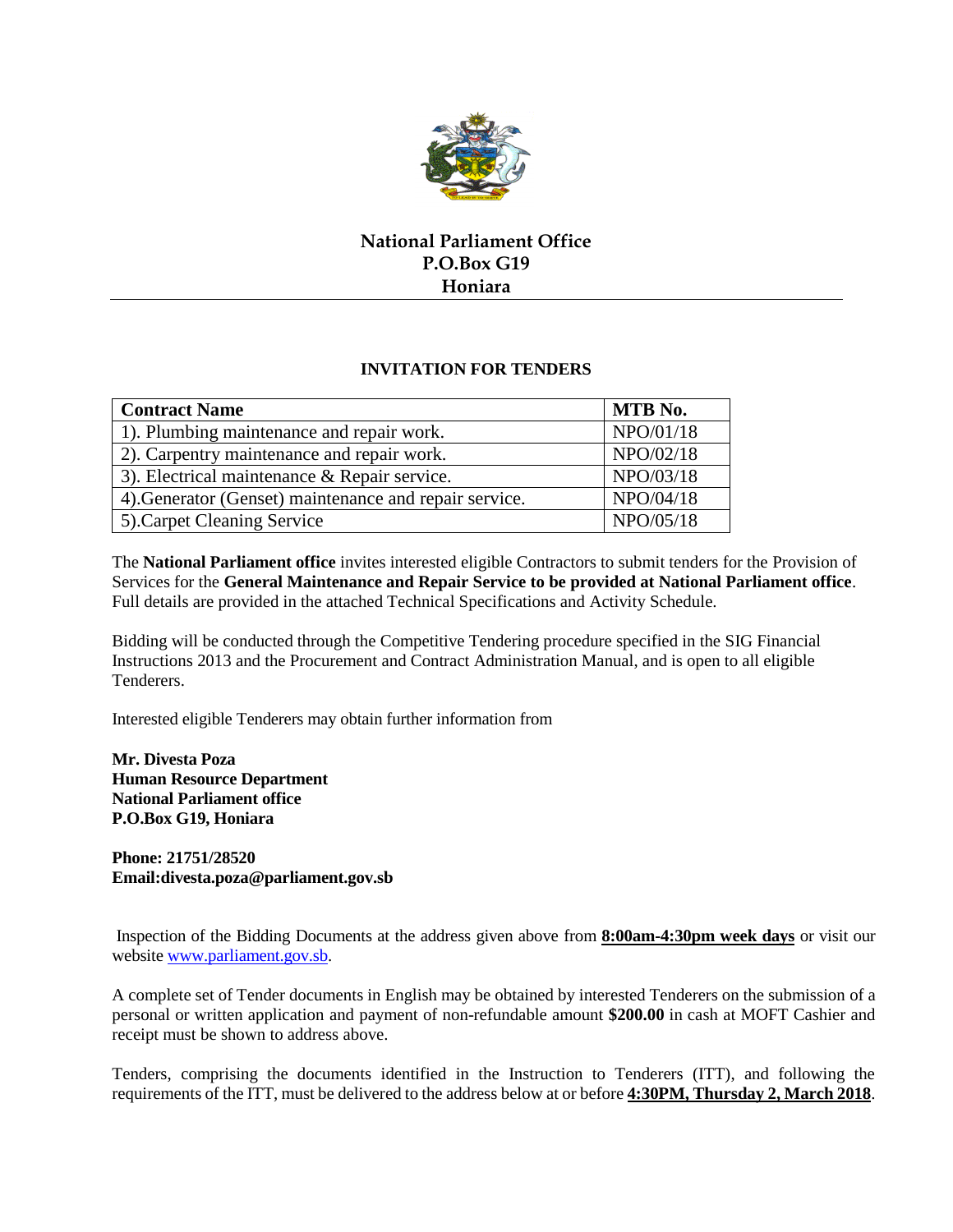

## **National Parliament Office P.O.Box G19 Honiara**

## **INVITATION FOR TENDERS**

| <b>Contract Name</b>                                   | MTB No.   |
|--------------------------------------------------------|-----------|
| 1). Plumbing maintenance and repair work.              | NPO/01/18 |
| 2). Carpentry maintenance and repair work.             | NPO/02/18 |
| 3). Electrical maintenance & Repair service.           | NPO/03/18 |
| 4). Generator (Genset) maintenance and repair service. | NPO/04/18 |
| 5). Carpet Cleaning Service                            | NPO/05/18 |

The **National Parliament office** invites interested eligible Contractors to submit tenders for the Provision of Services for the **General Maintenance and Repair Service to be provided at National Parliament office**. Full details are provided in the attached Technical Specifications and Activity Schedule.

Bidding will be conducted through the Competitive Tendering procedure specified in the SIG Financial Instructions 2013 and the Procurement and Contract Administration Manual, and is open to all eligible Tenderers.

Interested eligible Tenderers may obtain further information from

**Mr. Divesta Poza Human Resource Department National Parliament office P.O.Box G19, Honiara**

**Phone: 21751/28520 Email:divesta.poza@parliament.gov.sb**

Inspection of the Bidding Documents at the address given above from **8:00am-4:30pm week days** or visit our websit[e www.parliament.gov.sb.](http://www.parliament.gov.sb/)

A complete set of Tender documents in English may be obtained by interested Tenderers on the submission of a personal or written application and payment of non-refundable amount **\$200.00** in cash at MOFT Cashier and receipt must be shown to address above.

Tenders, comprising the documents identified in the Instruction to Tenderers (ITT), and following the requirements of the ITT, must be delivered to the address below at or before **4:30PM, Thursday 2, March 2018**.